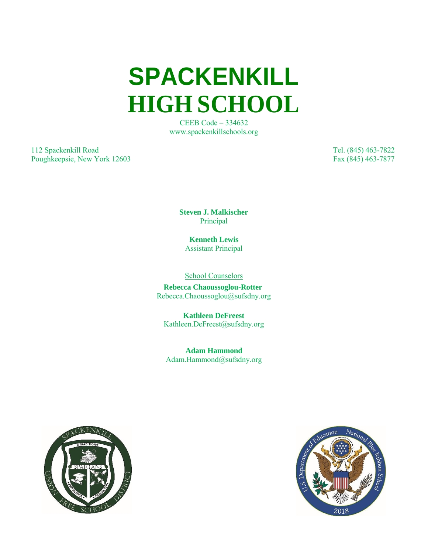**SPACKENKILL HIGH SCHOOL**

> CEEB Code – 334632 [www.spackenkillschools.org](http://www.spackenkillschools.org/)

112 Spackenkill Road Tel. (845) 463-7822 Poughkeepsie, New York 12603 Fax (845) 463-7877

**Steven J. Malkischer** Principal

**Kenneth Lewis** Assistant Principal

School Counselors

 **Rebecca Chaoussoglou-Rotter** [Rebecca.Chaoussoglou@sufsdny.org](mailto:Rebecca.ChaoussoglouRotter@spackenkillschools.org)

**Kathleen DeFreest** [Kathleen.DeFreest@sufsdny.org](mailto:Kathleen.DeFreest@spackenkillschools.org)

**Adam Hammond** [Adam.Hammond@sufsdny.org](mailto:Adam.Hammond@spackenkillschools.org)



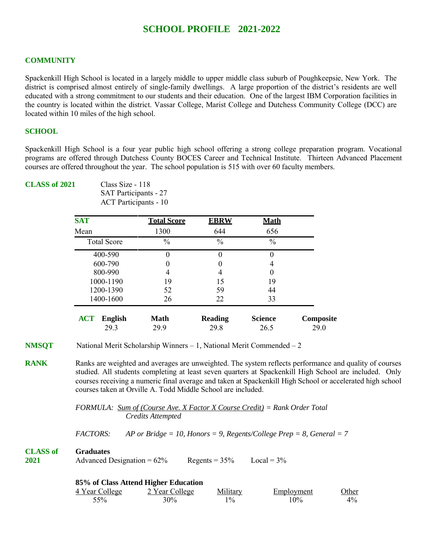# **SCHOOL PROFILE 2021-2022**

## **COMMUNITY**

Spackenkill High School is located in a largely middle to upper middle class suburb of Poughkeepsie, New York. The district is comprised almost entirely of single-family dwellings. A large proportion of the district's residents are well educated with a strong commitment to our students and their education. One of the largest IBM Corporation facilities in the country is located within the district. Vassar College, Marist College and Dutchess Community College (DCC) are located within 10 miles of the high school.

## **SCHOOL**

Spackenkill High School is a four year public high school offering a strong college preparation program. Vocational programs are offered through Dutchess County BOCES Career and Technical Institute. Thirteen Advanced Placement courses are offered throughout the year. The school population is 515 with over 60 faculty members.

## **CLASS of 2021** Class Size - 118

SAT Participants - 27 ACT Participants - 10

| <b>SAT</b>                   | <b>Total Score</b> | <b>EBRW</b>    | <b>Math</b>    |           |
|------------------------------|--------------------|----------------|----------------|-----------|
| Mean                         | 1300               | 644            | 656            |           |
| <b>Total Score</b>           | $\frac{0}{0}$      | $\frac{0}{0}$  | $\frac{0}{0}$  |           |
| 400-590                      |                    |                | 0              |           |
| 600-790                      |                    |                | 4              |           |
| 800-990                      |                    |                | $\theta$       |           |
| 1000-1190                    | 19                 | 15             | 19             |           |
| 1200-1390                    | 52                 | 59             | 44             |           |
| 1400-1600                    | 26                 | 22             | 33             |           |
| <b>ACT</b><br><b>English</b> | Math               | <b>Reading</b> | <b>Science</b> | Composite |
| 29.3                         | 29.9               | 29.8           | 26.5           | 29.0      |

**NMSOT** National Merit Scholarship Winners – 1, National Merit Commended – 2

**RANK** Ranks are weighted and averages are unweighted. The system reflects performance and quality of courses studied. All students completing at least seven quarters at Spackenkill High School are included. Only courses receiving a numeric final average and taken at Spackenkill High School or accelerated high school courses taken at Orville A. Todd Middle School are included.

> *FORMULA: Sum of (Course Ave. X Factor X Course Credit) = Rank Order Total Credits Attempted*

*FACTORS: AP or Bridge = 10, Honors = 9, Regents/College Prep = 8, General = 7*

| <b>CLASS of</b> | <b>Graduates</b>              |                 |               |
|-----------------|-------------------------------|-----------------|---------------|
| 2021            | Advanced Designation = $62\%$ | Regents = $35%$ | Local = $3\%$ |

| 85% of Class Attend Higher Education |                |          |            |       |  |
|--------------------------------------|----------------|----------|------------|-------|--|
| 4 Year College                       | 2 Year College | Military | Employment | Other |  |
| 55%                                  | 30%            | $1\%$    | 10%        | $4\%$ |  |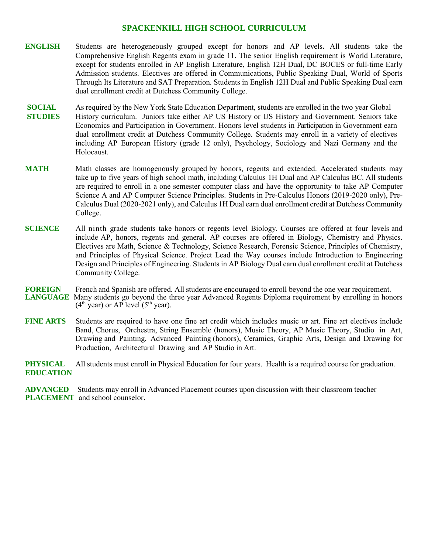## **SPACKENKILL HIGH SCHOOL CURRICULUM**

- **ENGLISH** Students are heterogeneously grouped except for honors and AP levels**.** All students take the Comprehensive English Regents exam in grade 11. The senior English requirement is World Literature, except for students enrolled in AP English Literature, English 12H Dual, DC BOCES or full-time Early Admission students. Electives are offered in Communications, Public Speaking Dual, World of Sports Through Its Literature and SAT Preparation. Students in English 12H Dual and Public Speaking Dual earn dual enrollment credit at Dutchess Community College.
- **SOCIAL** As required by the New York State Education Department, students are enrolled in the two year Global **STUDIES** History curriculum. Juniors take either AP US History or US History and Government. Seniors take Economics and Participation in Government. Honors level students in Participation in Government earn dual enrollment credit at Dutchess Community College. Students may enroll in a variety of electives including AP European History (grade 12 only), Psychology, Sociology and Nazi Germany and the Holocaust.
- **MATH** Math classes are homogenously grouped by honors, regents and extended. Accelerated students may take up to five years of high school math, including Calculus 1H Dual and AP Calculus BC. All students are required to enroll in a one semester computer class and have the opportunity to take AP Computer Science A and AP Computer Science Principles. Students in Pre-Calculus Honors (2019-2020 only), Pre-Calculus Dual (2020-2021 only), and Calculus 1H Dual earn dual enrollment credit at Dutchess Community College.
- **SCIENCE** All ninth grade students take honors or regents level Biology. Courses are offered at four levels and include AP, honors, regents and general. AP courses are offered in Biology, Chemistry and Physics. Electives are Math, Science & Technology, Science Research, Forensic Science, Principles of Chemistry, and Principles of Physical Science. Project Lead the Way courses include Introduction to Engineering Design and Principles of Engineering. Students in AP Biology Dual earn dual enrollment credit at Dutchess Community College.
- **FOREIGN** French and Spanish are offered. All students are encouraged to enroll beyond the one year requirement. **LANGUAGE** Many students go beyond the three year Advanced Regents Diploma requirement by enrolling in honors  $(4<sup>th</sup>$  year) or AP level  $(5<sup>th</sup>$  year).
- **FINE ARTS** Students are required to have one fine art credit which includes music or art. Fine art electives include Band, Chorus, Orchestra, String Ensemble (honors), Music Theory, AP Music Theory, Studio in Art, Drawing and Painting, Advanced Painting (honors), Ceramics, Graphic Arts, Design and Drawing for Production, Architectural Drawing and AP Studio in Art.

**PHYSICAL** All students must enroll in Physical Education for four years. Health is a required course for graduation. **EDUCATION**

**ADVANCED** Students may enroll in Advanced Placement courses upon discussion with their classroom teacher **PLACEMENT** and school counselor.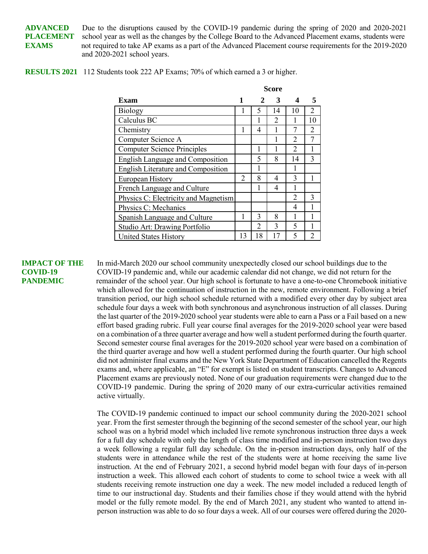**ADVANCED** Due to the disruptions caused by the COVID-19 pandemic during the spring of 2020 and 2020-2021 **PLACEMENT** school year as well as the changes by the College Board to the Advanced Placement exams, students were **EXAMS** not required to take AP exams as a part of the Advanced Placement course requirements for the 2019-2020 and 2020-2021 school years.

|  | <b>RESULTS 2021</b> 112 Students took 222 AP Exams; 70% of which earned a 3 or higher. |  |  |
|--|----------------------------------------------------------------------------------------|--|--|
|--|----------------------------------------------------------------------------------------|--|--|

|                                           | Score |    |                |                |               |
|-------------------------------------------|-------|----|----------------|----------------|---------------|
| Exam                                      |       |    | 3              |                | 5             |
| Biology                                   |       | 5  | 14             | 10             | 2             |
| Calculus BC                               |       |    | $\overline{2}$ |                | 10            |
| Chemistry                                 | 1     | 4  | 1              | 7              | 2             |
| Computer Science A                        |       |    |                | $\mathfrak{D}$ |               |
| <b>Computer Science Principles</b>        |       |    |                | $\mathfrak{D}$ |               |
| <b>English Language and Composition</b>   |       | 5  | 8              | 14             | $\mathcal{E}$ |
| <b>English Literature and Composition</b> |       | 1  |                |                |               |
| European History                          | 2     | 8  | 4              | 3              |               |
| French Language and Culture               |       |    | 4              |                |               |
| Physics C: Electricity and Magnetism      |       |    |                | $\mathfrak{D}$ | 3             |
| Physics C: Mechanics                      |       |    |                | 4              |               |
| Spanish Language and Culture              | 1     | 3  | 8              |                |               |
| Studio Art: Drawing Portfolio             |       | 2  | 3              | 5              |               |
| <b>United States History</b>              | 13    | 18 |                | 5              |               |

**IMPACT OF THE** In mid-March 2020 our school community unexpectedly closed our school buildings due to the **COVID-19** COVID-19 pandemic and, while our academic calendar did not change, we did not return for the **PANDEMIC** remainder of the school year. Our high school is fortunate to have a one-to-one Chromebook initiative which allowed for the continuation of instruction in the new, remote environment. Following a brief transition period, our high school schedule returned with a modified every other day by subject area schedule four days a week with both synchronous and asynchronous instruction of all classes. During the last quarter of the 2019-2020 school year students were able to earn a Pass or a Fail based on a new effort based grading rubric. Full year course final averages for the 2019-2020 school year were based on a combination of a three quarter average and how well a student performed during the fourth quarter. Second semester course final averages for the 2019-2020 school year were based on a combination of the third quarter average and how well a student performed during the fourth quarter. Our high school did not administer final exams and the New York State Department of Education cancelled the Regents exams and, where applicable, an "E" for exempt is listed on student transcripts. Changes to Advanced Placement exams are previously noted. None of our graduation requirements were changed due to the COVID-19 pandemic. During the spring of 2020 many of our extra-curricular activities remained active virtually.

> The COVID-19 pandemic continued to impact our school community during the 2020-2021 school year. From the first semester through the beginning of the second semester of the school year, our high school was on a hybrid model which included live remote synchronous instruction three days a week for a full day schedule with only the length of class time modified and in-person instruction two days a week following a regular full day schedule. On the in-person instruction days, only half of the students were in attendance while the rest of the students were at home receiving the same live instruction. At the end of February 2021, a second hybrid model began with four days of in-person instruction a week. This allowed each cohort of students to come to school twice a week with all students receiving remote instruction one day a week. The new model included a reduced length of time to our instructional day. Students and their families chose if they would attend with the hybrid model or the fully remote model. By the end of March 2021, any student who wanted to attend inperson instruction was able to do so four days a week. All of our courses were offered during the 2020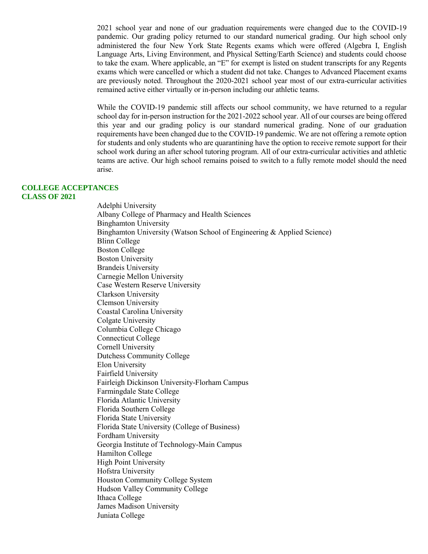2021 school year and none of our graduation requirements were changed due to the COVID-19 pandemic. Our grading policy returned to our standard numerical grading. Our high school only administered the four New York State Regents exams which were offered (Algebra I, English Language Arts, Living Environment, and Physical Setting/Earth Science) and students could choose to take the exam. Where applicable, an "E" for exempt is listed on student transcripts for any Regents exams which were cancelled or which a student did not take. Changes to Advanced Placement exams are previously noted. Throughout the 2020-2021 school year most of our extra-curricular activities remained active either virtually or in-person including our athletic teams.

While the COVID-19 pandemic still affects our school community, we have returned to a regular school day for in-person instruction for the 2021-2022 school year. All of our courses are being offered this year and our grading policy is our standard numerical grading. None of our graduation requirements have been changed due to the COVID-19 pandemic. We are not offering a remote option for students and only students who are quarantining have the option to receive remote support for their school work during an after school tutoring program. All of our extra-curricular activities and athletic teams are active. Our high school remains poised to switch to a fully remote model should the need arise.

## **COLLEGE ACCEPTANCES CLASS OF 2021**

Adelphi University Albany College of Pharmacy and Health Sciences Binghamton University Binghamton University (Watson School of Engineering & Applied Science) Blinn College Boston College Boston University Brandeis University Carnegie Mellon University Case Western Reserve University Clarkson University Clemson University Coastal Carolina University Colgate University Columbia College Chicago Connecticut College Cornell University Dutchess Community College Elon University Fairfield University Fairleigh Dickinson University-Florham Campus Farmingdale State College Florida Atlantic University Florida Southern College Florida State University Florida State University (College of Business) Fordham University Georgia Institute of Technology-Main Campus Hamilton College High Point University Hofstra University Houston Community College System Hudson Valley Community College Ithaca College James Madison University Juniata College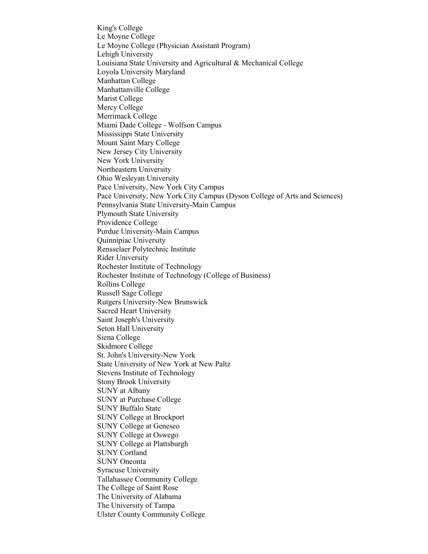King's College Le Moyne College Le Moyne College (Physician Assistant Program) Lehigh University Louisiana State University and Agricultural & Mechanical College Loyola University Maryland Manhattan College Manhattanville College Marist College Mercy College Merrimack College Miami Dade College - Wolfson Campus Mississippi State University Mount Saint Mary College New Jersey City University New York University Northeastern University Ohio Wesleyan University Pace University, New York City Campus Pace University, New York City Campus (Dyson College of Arts and Sciences) Pennsylvania State University-Main Campus Plymouth State University Providence College Purdue University-Main Campus Quinnipiac University Rensselaer Polytechnic Institute Rider University Rochester Institute of Technology Rochester Institute of Technology (College of Business) Rollins College Russell Sage College Rutgers University-New Brunswick Sacred Heart University Saint Joseph's University Seton Hall University Siena College Skidmore College St. John's University-New York State University of New York at New Paltz Stevens Institute of Technology Stony Brook University SUNY at Albany SUNY at Purchase College SUNY Buffalo State SUNY College at Brockport SUNY College at Geneseo SUNY College at Oswego SUNY College at Plattsburgh SUNY Cortland SUNY Oneonta Syracuse University Tallahassee Community College The College of Saint Rose The University of Alabama The University of Tampa Ulster County Community College